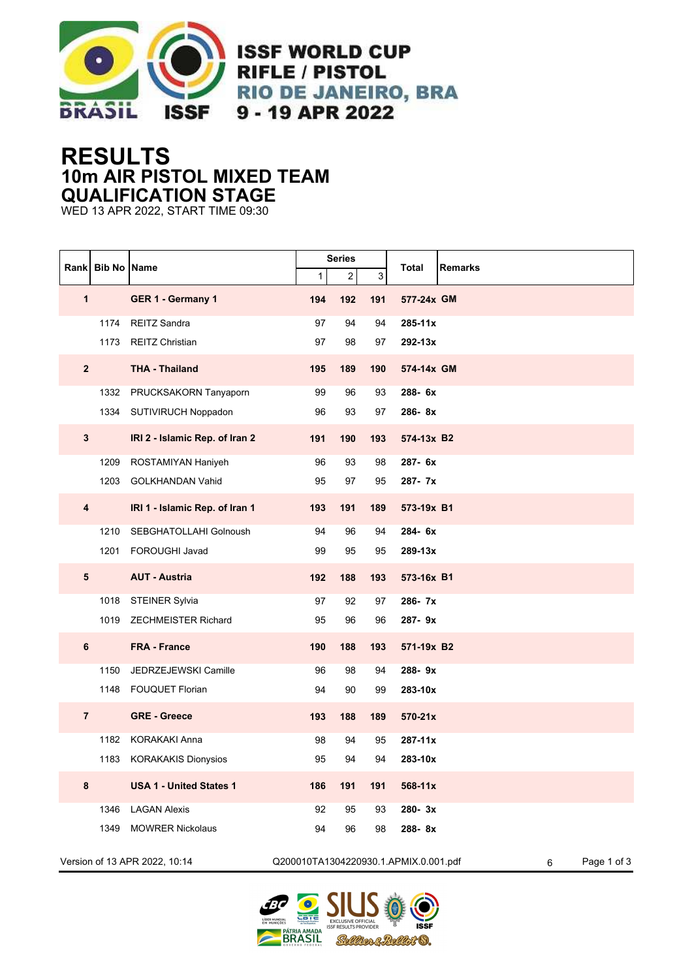

## **RESULTS 10m AIR PISTOL MIXED TEAM QUALIFICATION STAGE**

WED 13 APR 2022, START TIME 09:30

|                         | Rank Bib No Name              |                                |     | <b>Series</b>  |     |                                       | <b>Remarks</b>   |  |  |
|-------------------------|-------------------------------|--------------------------------|-----|----------------|-----|---------------------------------------|------------------|--|--|
|                         |                               |                                | 1   | $\overline{2}$ | 3   | <b>Total</b>                          |                  |  |  |
| $\mathbf{1}$            |                               | GER 1 - Germany 1              | 194 | 192            | 191 | 577-24x GM                            |                  |  |  |
|                         | 1174                          | <b>REITZ Sandra</b>            | 97  | 94             | 94  | 285-11x                               |                  |  |  |
|                         | 1173                          | <b>REITZ Christian</b>         | 97  | 98             | 97  | 292-13x                               |                  |  |  |
| $\mathbf{2}$            |                               | <b>THA - Thailand</b>          | 195 | 189            | 190 | 574-14x GM                            |                  |  |  |
|                         | 1332                          | PRUCKSAKORN Tanyaporn          | 99  | 96             | 93  | 288-6x                                |                  |  |  |
|                         | 1334                          | SUTIVIRUCH Noppadon            | 96  | 93             | 97  | 286-8x                                |                  |  |  |
| $\mathbf{3}$            |                               | IRI 2 - Islamic Rep. of Iran 2 | 191 | 190            | 193 | 574-13x B2                            |                  |  |  |
|                         | 1209                          | ROSTAMIYAN Haniyeh             | 96  | 93             | 98  | 287- 6x                               |                  |  |  |
|                         | 1203                          | <b>GOLKHANDAN Vahid</b>        | 95  | 97             | 95  | 287-7x                                |                  |  |  |
| $\overline{\mathbf{4}}$ |                               | IRI 1 - Islamic Rep. of Iran 1 | 193 | 191            | 189 | 573-19x B1                            |                  |  |  |
|                         | 1210                          | SEBGHATOLLAHI Golnoush         | 94  | 96             | 94  | 284-6x                                |                  |  |  |
|                         | 1201                          | <b>FOROUGHI Javad</b>          | 99  | 95             | 95  | 289-13x                               |                  |  |  |
| $5\phantom{1}$          |                               | <b>AUT - Austria</b>           | 192 | 188            | 193 | 573-16x B1                            |                  |  |  |
|                         | 1018                          | <b>STEINER Sylvia</b>          | 97  | 92             | 97  | 286-7x                                |                  |  |  |
|                         |                               | 1019 ZECHMEISTER Richard       | 95  | 96             | 96  | 287-9x                                |                  |  |  |
| $\bf 6$                 |                               | <b>FRA - France</b>            | 190 | 188            | 193 | 571-19x B2                            |                  |  |  |
|                         | 1150                          | JEDRZEJEWSKI Camille           | 96  | 98             | 94  | 288-9x                                |                  |  |  |
|                         | 1148                          | <b>FOUQUET Florian</b>         | 94  | 90             | 99  | 283-10x                               |                  |  |  |
| $\overline{7}$          |                               | <b>GRE - Greece</b>            | 193 | 188            | 189 | 570-21x                               |                  |  |  |
|                         | 1182                          | <b>KORAKAKI Anna</b>           | 98  | 94             | 95  | 287-11x                               |                  |  |  |
|                         | 1183                          | <b>KORAKAKIS Dionysios</b>     | 95  | 94             | 94  | 283-10x                               |                  |  |  |
| 8                       |                               | <b>USA 1 - United States 1</b> | 186 | 191            | 191 | 568-11x                               |                  |  |  |
|                         | 1346                          | <b>LAGAN Alexis</b>            | 92  | 95             | 93  | 280-3x                                |                  |  |  |
|                         | 1349                          | <b>MOWRER Nickolaus</b>        | 94  | 96             | 98  | 288-8x                                |                  |  |  |
|                         | Version of 13 APR 2022, 10:14 |                                |     |                |     | Q200010TA1304220930.1.APMIX.0.001.pdf | Page 1 of 3<br>6 |  |  |

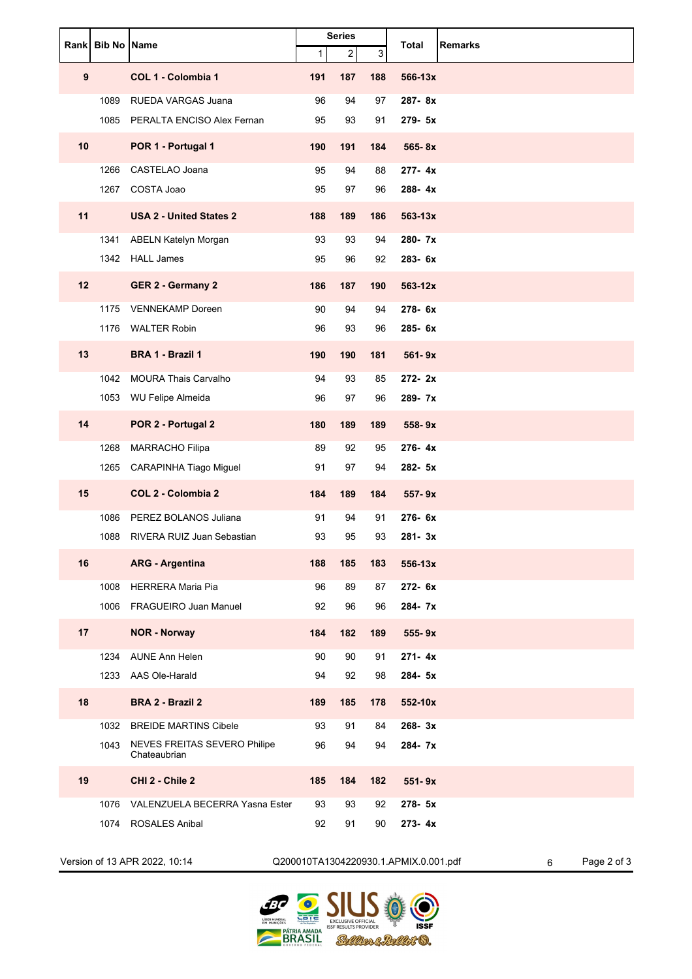|    | Rank Bib No Name |                                              | <b>Series</b> |                |     | <b>Total</b><br><b>Remarks</b> |
|----|------------------|----------------------------------------------|---------------|----------------|-----|--------------------------------|
|    |                  |                                              | $\mathbf 1$   | $\overline{a}$ | 3   |                                |
| 9  |                  | COL 1 - Colombia 1                           | 191           | 187            | 188 | 566-13x                        |
|    | 1089             | <b>RUEDA VARGAS Juana</b>                    | 96            | 94             | 97  | 287-8x                         |
|    | 1085             | PERALTA ENCISO Alex Fernan                   | 95            | 93             | 91  | 279- 5x                        |
| 10 |                  | POR 1 - Portugal 1                           | 190           | 191            | 184 | 565-8x                         |
|    | 1266             | CASTELAO Joana                               | 95            | 94             | 88  | 277-4x                         |
|    | 1267             | COSTA Joao                                   | 95            | 97             | 96  | 288-4x                         |
| 11 |                  | <b>USA 2 - United States 2</b>               | 188           | 189            | 186 | $563 - 13x$                    |
|    | 1341             | <b>ABELN Katelyn Morgan</b>                  | 93            | 93             | 94  | 280-7x                         |
|    | 1342             | <b>HALL James</b>                            | 95            | 96             | 92  | 283-6x                         |
| 12 |                  | <b>GER 2 - Germany 2</b>                     | 186           | 187            | 190 | $563 - 12x$                    |
|    | 1175             | <b>VENNEKAMP Doreen</b>                      | 90            | 94             | 94  | 278-6x                         |
|    | 1176             | <b>WALTER Robin</b>                          | 96            | 93             | 96  | 285-6x                         |
| 13 |                  | BRA 1 - Brazil 1                             | 190           | 190            | 181 | 561-9x                         |
|    | 1042             | <b>MOURA Thais Carvalho</b>                  | 94            | 93             | 85  | 272-2x                         |
|    | 1053             | WU Felipe Almeida                            | 96            | 97             | 96  | 289-7x                         |
| 14 |                  | POR 2 - Portugal 2                           | 180           | 189            | 189 | $558 - 9x$                     |
|    | 1268             | MARRACHO Filipa                              | 89            | 92             | 95  | 276-4x                         |
|    | 1265             | CARAPINHA Tiago Miguel                       | 91            | 97             | 94  | 282- 5x                        |
| 15 |                  | COL 2 - Colombia 2                           | 184           | 189            | 184 | $557 - 9x$                     |
|    | 1086             | PEREZ BOLANOS Juliana                        | 91            | 94             | 91  | 276-6x                         |
|    | 1088             | RIVERA RUIZ Juan Sebastian                   | 93            | 95             | 93  | $281 - 3x$                     |
| 16 |                  | <b>ARG - Argentina</b>                       | 188           | 185            | 183 | 556-13x                        |
|    | 1008             | <b>HERRERA Maria Pia</b>                     | 96            | 89             | 87  | 272-6x                         |
|    |                  | 1006 FRAGUEIRO Juan Manuel                   | 92            | 96             | 96  | 284-7x                         |
| 17 |                  | <b>NOR - Norway</b>                          | 184           | 182            | 189 | 555-9x                         |
|    | 1234             | <b>AUNE Ann Helen</b>                        | 90            | 90             | 91  | $271 - 4x$                     |
|    |                  | 1233 AAS Ole-Harald                          | 94            | 92             | 98  | 284- 5x                        |
| 18 |                  | BRA 2 - Brazil 2                             | 189           | 185            | 178 | 552-10x                        |
|    | 1032             | <b>BREIDE MARTINS Cibele</b>                 | 93            | 91             | 84  | $268 - 3x$                     |
|    | 1043             | NEVES FREITAS SEVERO Philipe<br>Chateaubrian | 96            | 94             | 94  | 284-7x                         |
| 19 |                  | CHI 2 - Chile 2                              | 185           | 184            | 182 | $551 - 9x$                     |
|    | 1076             | VALENZUELA BECERRA Yasna Ester               | 93            | 93             | 92  | 278-5x                         |
|    |                  | 1074 ROSALES Anibal                          | 92            | 91             | 90  | $273 - 4x$                     |

Version of 13 APR 2022, 10:14 Q200010TA1304220930.1.APMIX.0.001.pdf 6 Page 2 of 3